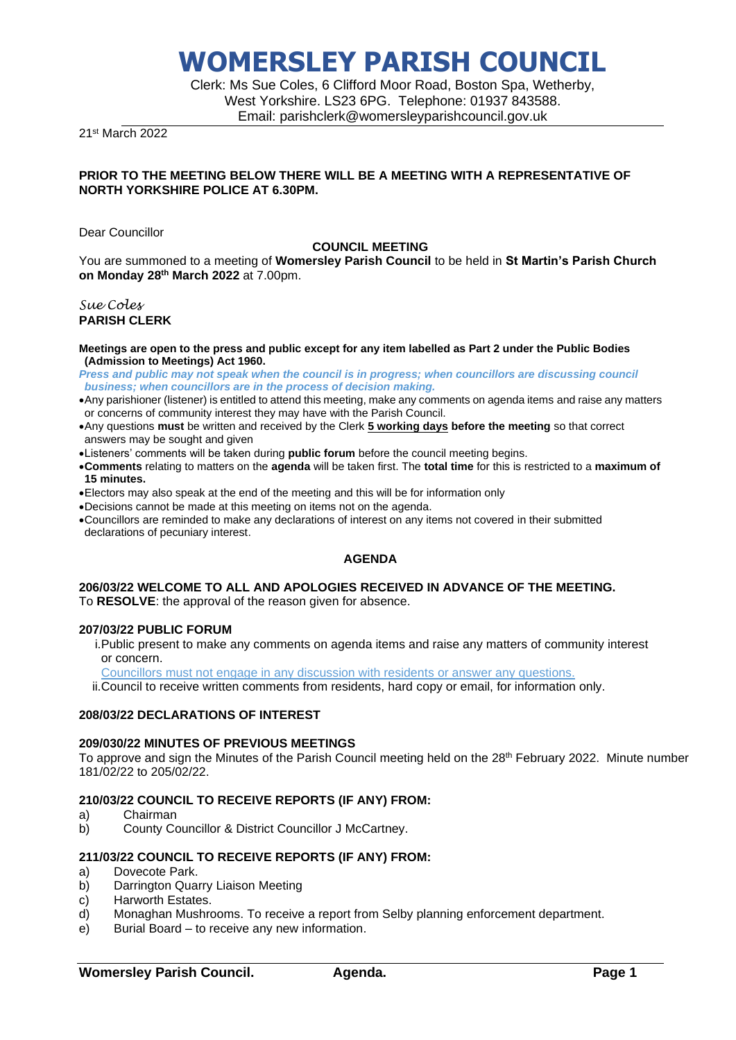Clerk: Ms Sue Coles, 6 Clifford Moor Road, Boston Spa, Wetherby, West Yorkshire. LS23 6PG. Telephone: 01937 843588. Email: parishclerk@womersleyparishcouncil.gov.uk

21st March 2022

### **PRIOR TO THE MEETING BELOW THERE WILL BE A MEETING WITH A REPRESENTATIVE OF NORTH YORKSHIRE POLICE AT 6.30PM.**

Dear Councillor

### **COUNCIL MEETING**

You are summoned to a meeting of **Womersley Parish Council** to be held in **St Martin's Parish Church on Monday 28th March 2022** at 7.00pm.

### *Sue Coles* **PARISH CLERK**

**Meetings are open to the press and public except for any item labelled as Part 2 under the Public Bodies (Admission to Meetings) Act 1960.**

*Press and public may not speak when the council is in progress; when councillors are discussing council business; when councillors are in the process of decision making.*

- •Any parishioner (listener) is entitled to attend this meeting, make any comments on agenda items and raise any matters or concerns of community interest they may have with the Parish Council.
- •Any questions **must** be written and received by the Clerk **5 working days before the meeting** so that correct answers may be sought and given
- •Listeners' comments will be taken during **public forum** before the council meeting begins.
- •**Comments** relating to matters on the **agenda** will be taken first. The **total time** for this is restricted to a **maximum of 15 minutes.**
- •Electors may also speak at the end of the meeting and this will be for information only
- •Decisions cannot be made at this meeting on items not on the agenda.
- •Councillors are reminded to make any declarations of interest on any items not covered in their submitted declarations of pecuniary interest.

## **AGENDA**

### **206/03/22 WELCOME TO ALL AND APOLOGIES RECEIVED IN ADVANCE OF THE MEETING.** To **RESOLVE**: the approval of the reason given for absence.

### **207/03/22 PUBLIC FORUM**

- i.Public present to make any comments on agenda items and raise any matters of community interest or concern.
- Councillors must not engage in any discussion with residents or answer any questions.

ii.Council to receive written comments from residents, hard copy or email, for information only.

### **208/03/22 DECLARATIONS OF INTEREST**

### **209/030/22 MINUTES OF PREVIOUS MEETINGS**

To approve and sign the Minutes of the Parish Council meeting held on the  $28<sup>th</sup>$  February 2022. Minute number 181/02/22 to 205/02/22.

### **210/03/22 COUNCIL TO RECEIVE REPORTS (IF ANY) FROM:**

- a) Chairman
- b) County Councillor & District Councillor J McCartney.

## **211/03/22 COUNCIL TO RECEIVE REPORTS (IF ANY) FROM:**

- a) Dovecote Park.
- b) Darrington Quarry Liaison Meeting
- c) Harworth Estates.
- d) Monaghan Mushrooms. To receive a report from Selby planning enforcement department.
- e) Burial Board to receive any new information.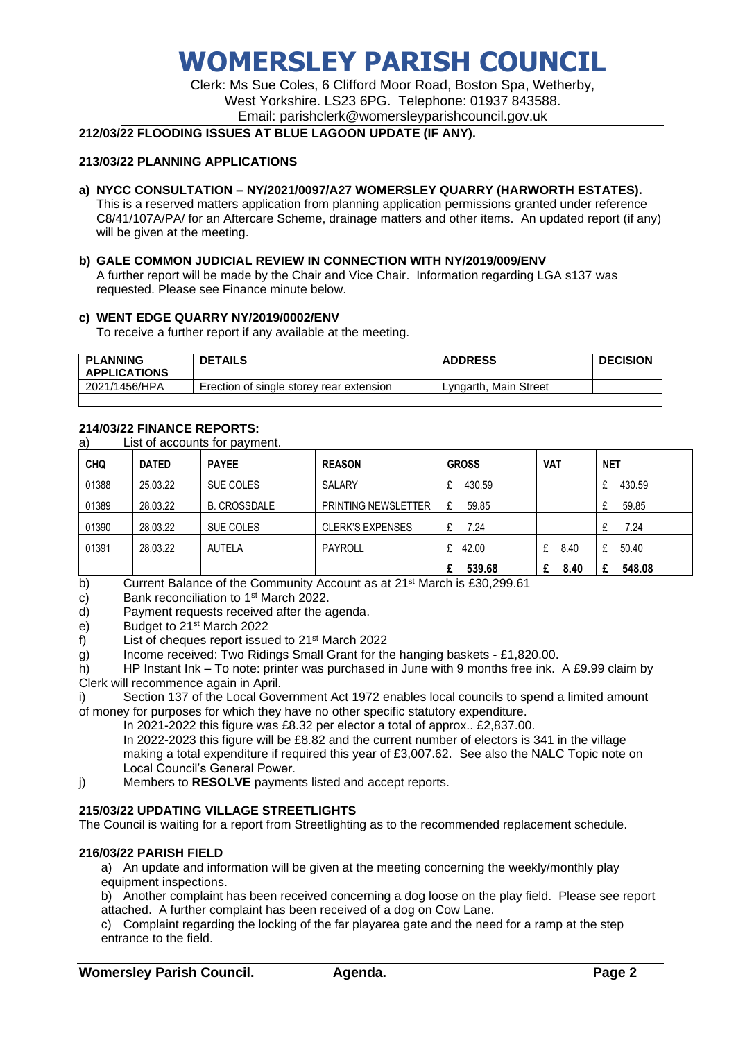# **WOMERSLEY PARISH COUNCIL**

Clerk: Ms Sue Coles, 6 Clifford Moor Road, Boston Spa, Wetherby, West Yorkshire. LS23 6PG. Telephone: 01937 843588. Email: parishclerk@womersleyparishcouncil.gov.uk

## **212/03/22 FLOODING ISSUES AT BLUE LAGOON UPDATE (IF ANY).**

### **213/03/22 PLANNING APPLICATIONS**

- **a) NYCC CONSULTATION – NY/2021/0097/A27 WOMERSLEY QUARRY (HARWORTH ESTATES).** This is a reserved matters application from planning application permissions granted under reference C8/41/107A/PA/ for an Aftercare Scheme, drainage matters and other items. An updated report (if any) will be given at the meeting.
- **b) GALE COMMON JUDICIAL REVIEW IN CONNECTION WITH NY/2019/009/ENV** A further report will be made by the Chair and Vice Chair. Information regarding LGA s137 was requested. Please see Finance minute below.

### **c) WENT EDGE QUARRY NY/2019/0002/ENV**

To receive a further report if any available at the meeting.

| <b>PLANNING</b><br><b>APPLICATIONS</b> | <b>DETAILS</b>                           | <b>ADDRESS</b>        | <b>DECISION</b> |
|----------------------------------------|------------------------------------------|-----------------------|-----------------|
| 2021/1456/HPA                          | Erection of single storey rear extension | Lyngarth, Main Street |                 |

### **214/03/22 FINANCE REPORTS:**

a) List of accounts for payment.

| <b>CHQ</b> | <b>DATED</b> | <b>PAYEE</b>        | <b>REASON</b>              | <b>GROSS</b> | <b>VAT</b> | <b>NET</b>  |
|------------|--------------|---------------------|----------------------------|--------------|------------|-------------|
| 01388      | 25.03.22     | SUE COLES           | SALARY                     | 430.59       |            | 430.59      |
| 01389      | 28.03.22     | <b>B. CROSSDALE</b> | <b>PRINTING NEWSLETTER</b> | 59.85<br>£   |            | 59.85       |
| 01390      | 28.03.22     | SUE COLES           | <b>CLERK'S EXPENSES</b>    | 7.24         |            | 7.24        |
| 01391      | 28.03.22     | <b>AUTELA</b>       | PAYROLL                    | 42.00<br>£   | 8.40       | 50.40<br>£  |
|            |              |                     |                            | 539.68       | 8.40       | 548.08<br>£ |

b) Current Balance of the Community Account as at 21<sup>st</sup> March is £30,299.61

c) Bank reconciliation to  $1<sup>st</sup>$  March 2022.

d) Payment requests received after the agenda.

- e) Budget to 21st March 2022
- f) List of cheques report issued to 21st March 2022
- g) Income received: Two Ridings Small Grant for the hanging baskets £1,820.00.

h) HP Instant Ink – To note: printer was purchased in June with 9 months free ink. A £9.99 claim by Clerk will recommence again in April.

i) Section 137 of the Local Government Act 1972 enables local councils to spend a limited amount of money for purposes for which they have no other specific statutory expenditure.

In 2021-2022 this figure was £8.32 per elector a total of approx.. £2,837.00.

In 2022-2023 this figure will be £8.82 and the current number of electors is 341 in the village making a total expenditure if required this year of £3,007.62. See also the NALC Topic note on Local Council's General Power.

j) Members to **RESOLVE** payments listed and accept reports.

## **215/03/22 UPDATING VILLAGE STREETLIGHTS**

The Council is waiting for a report from Streetlighting as to the recommended replacement schedule.

## **216/03/22 PARISH FIELD**

a) An update and information will be given at the meeting concerning the weekly/monthly play equipment inspections.

b) Another complaint has been received concerning a dog loose on the play field. Please see report attached. A further complaint has been received of a dog on Cow Lane.

c) Complaint regarding the locking of the far playarea gate and the need for a ramp at the step entrance to the field.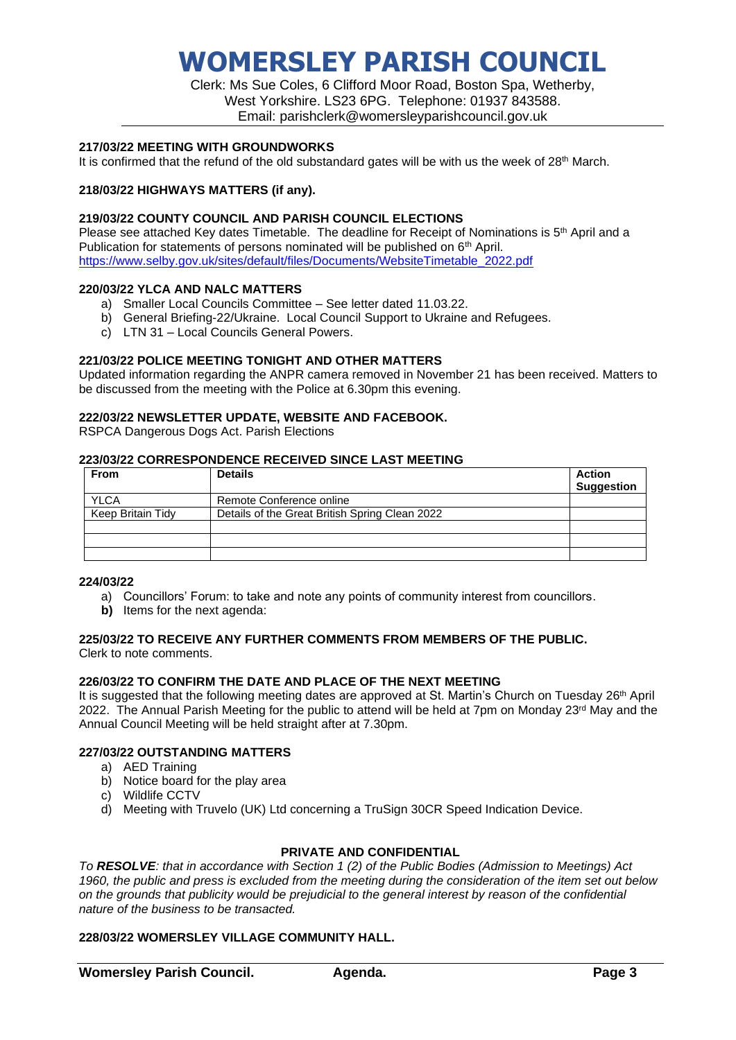# **WOMERSLEY PARISH COUNCIL**

Clerk: Ms Sue Coles, 6 Clifford Moor Road, Boston Spa, Wetherby, West Yorkshire. LS23 6PG. Telephone: 01937 843588. Email: parishclerk@womersleyparishcouncil.gov.uk

### **217/03/22 MEETING WITH GROUNDWORKS**

It is confirmed that the refund of the old substandard gates will be with us the week of 28<sup>th</sup> March.

### **218/03/22 HIGHWAYS MATTERS (if any).**

### **219/03/22 COUNTY COUNCIL AND PARISH COUNCIL ELECTIONS**

Please see attached Key dates Timetable. The deadline for Receipt of Nominations is 5<sup>th</sup> April and a Publication for statements of persons nominated will be published on  $6<sup>th</sup>$  April. [https://www.selby.gov.uk/sites/default/files/Documents/WebsiteTimetable\\_2022.pdf](https://www.selby.gov.uk/sites/default/files/Documents/WebsiteTimetable_2022.pdf)

### **220/03/22 YLCA AND NALC MATTERS**

- a) Smaller Local Councils Committee See letter dated 11.03.22.
- b) General Briefing-22/Ukraine. Local Council Support to Ukraine and Refugees.
- c) LTN 31 Local Councils General Powers.

### **221/03/22 POLICE MEETING TONIGHT AND OTHER MATTERS**

Updated information regarding the ANPR camera removed in November 21 has been received. Matters to be discussed from the meeting with the Police at 6.30pm this evening.

### **222/03/22 NEWSLETTER UPDATE, WEBSITE AND FACEBOOK.**

RSPCA Dangerous Dogs Act. Parish Elections

## **223/03/22 CORRESPONDENCE RECEIVED SINCE LAST MEETING**

| From              | <b>Details</b>                                 | Action<br><b>Suggestion</b> |
|-------------------|------------------------------------------------|-----------------------------|
| <b>YLCA</b>       | Remote Conference online                       |                             |
| Keep Britain Tidy | Details of the Great British Spring Clean 2022 |                             |
|                   |                                                |                             |
|                   |                                                |                             |
|                   |                                                |                             |

### **224/03/22**

- a) Councillors' Forum: to take and note any points of community interest from councillors.
- **b)** Items for the next agenda:

#### **225/03/22 TO RECEIVE ANY FURTHER COMMENTS FROM MEMBERS OF THE PUBLIC.**  Clerk to note comments.

**226/03/22 TO CONFIRM THE DATE AND PLACE OF THE NEXT MEETING**

It is suggested that the following meeting dates are approved at St. Martin's Church on Tuesday 26<sup>th</sup> April 2022. The Annual Parish Meeting for the public to attend will be held at 7pm on Monday 23<sup>rd</sup> May and the Annual Council Meeting will be held straight after at 7.30pm.

### **227/03/22 OUTSTANDING MATTERS**

- a) AED Training
- b) Notice board for the play area
- c) Wildlife CCTV
- d) Meeting with Truvelo (UK) Ltd concerning a TruSign 30CR Speed Indication Device.

### **PRIVATE AND CONFIDENTIAL**

*To RESOLVE: that in accordance with Section 1 (2) of the Public Bodies (Admission to Meetings) Act 1960, the public and press is excluded from the meeting during the consideration of the item set out below on the grounds that publicity would be prejudicial to the general interest by reason of the confidential nature of the business to be transacted.*

### **228/03/22 WOMERSLEY VILLAGE COMMUNITY HALL.**